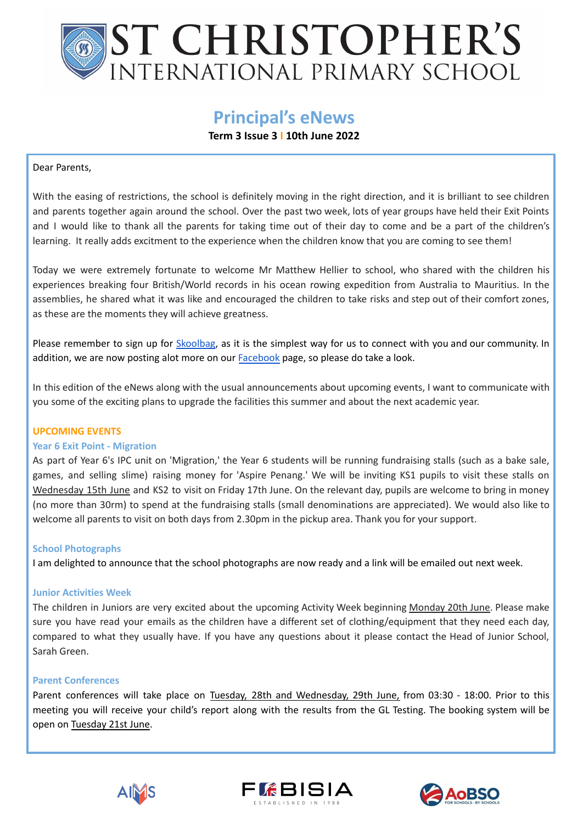# **ST CHRISTOPHER'S** INTERNATIONAL PRIMARY SCHOOL

# **Principal's eNews**

# **Term 3 Issue 3 I 10th June 2022**

## Dear Parents,

With the easing of restrictions, the school is definitely moving in the right direction, and it is brilliant to see children and parents together again around the school. Over the past two week, lots of year groups have held their Exit Points and I would like to thank all the parents for taking time out of their day to come and be a part of the children's learning. It really adds excitment to the experience when the children know that you are coming to see them!

Today we were extremely fortunate to welcome Mr Matthew Hellier to school, who shared with the children his experiences breaking four British/World records in his ocean rowing expedition from Australia to Mauritius. In the assemblies, he shared what it was like and encouraged the children to take risks and step out of their comfort zones, as these are the moments they will achieve greatness.

Please remember to sign up for [Skoolbag](https://www.moqproducts.com.au/skoolbag/), as it is the simplest way for us to connect with you and our community. In addition, we are now posting alot more on our [Facebook](https://www.facebook.com/St-Christophers-International-Primary-School-Penang-300384856742826) page, so please do take a look.

In this edition of the eNews along with the usual announcements about upcoming events, I want to communicate with you some of the exciting plans to upgrade the facilities this summer and about the next academic year.

### **UPCOMING EVENTS**

### **Year 6 Exit Point - Migration**

As part of Year 6's IPC unit on 'Migration,' the Year 6 students will be running fundraising stalls (such as a bake sale, games, and selling slime) raising money for 'Aspire Penang.' We will be inviting KS1 pupils to visit these stalls on Wednesday 15th June and KS2 to visit on Friday 17th June. On the relevant day, pupils are welcome to bring in money (no more than 30rm) to spend at the fundraising stalls (small denominations are appreciated). We would also like to welcome all parents to visit on both days from 2.30pm in the pickup area. Thank you for your support.

### **School Photographs**

I am delighted to announce that the school photographs are now ready and a link will be emailed out next week.

### **Junior Activities Week**

The children in Juniors are very excited about the upcoming Activity Week beginning Monday 20th June. Please make sure you have read your emails as the children have a different set of clothing/equipment that they need each day, compared to what they usually have. If you have any questions about it please contact the Head of Junior School, Sarah Green.

#### **Parent Conferences**

Parent conferences will take place on Tuesday, 28th and Wednesday, 29th June, from 03:30 - 18:00. Prior to this meeting you will receive your child's report along with the results from the GL Testing. The booking system will be open on Tuesday 21st June.





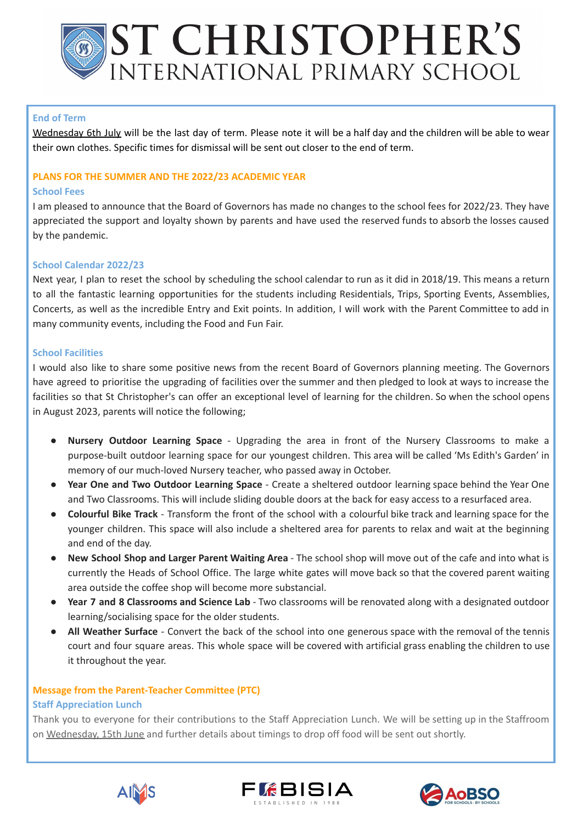# **ST CHRISTOPHER'S** INTERNATIONAL PRIMARY SCHOOL

### **End of Term**

Wednesday 6th July will be the last day of term. Please note it will be a half day and the children will be able to wear their own clothes. Specific times for dismissal will be sent out closer to the end of term.

#### **PLANS FOR THE SUMMER AND THE 2022/23 ACADEMIC YEAR**

#### **School Fees**

I am pleased to announce that the Board of Governors has made no changes to the school fees for 2022/23. They have appreciated the support and loyalty shown by parents and have used the reserved funds to absorb the losses caused by the pandemic.

### **School Calendar 2022/23**

Next year, I plan to reset the school by scheduling the school calendar to run as it did in 2018/19. This means a return to all the fantastic learning opportunities for the students including Residentials, Trips, Sporting Events, Assemblies, Concerts, as well as the incredible Entry and Exit points. In addition, I will work with the Parent Committee to add in many community events, including the Food and Fun Fair.

#### **School Facilities**

I would also like to share some positive news from the recent Board of Governors planning meeting. The Governors have agreed to prioritise the upgrading of facilities over the summer and then pledged to look at ways to increase the facilities so that St Christopher's can offer an exceptional level of learning for the children. So when the school opens in August 2023, parents will notice the following;

- **Nursery Outdoor Learning Space** Upgrading the area in front of the Nursery Classrooms to make a purpose-built outdoor learning space for our youngest children. This area will be called 'Ms Edith's Garden' in memory of our much-loved Nursery teacher, who passed away in October.
- **Year One and Two Outdoor Learning Space** Create a sheltered outdoor learning space behind the Year One and Two Classrooms. This will include sliding double doors at the back for easy access to a resurfaced area.
- **Colourful Bike Track** Transform the front of the school with a colourful bike track and learning space for the younger children. This space will also include a sheltered area for parents to relax and wait at the beginning and end of the day.
- **New School Shop and Larger Parent Waiting Area** The school shop will move out of the cafe and into what is currently the Heads of School Office. The large white gates will move back so that the covered parent waiting area outside the coffee shop will become more substancial.
- **Year 7 and 8 Classrooms and Science Lab** Two classrooms will be renovated along with a designated outdoor learning/socialising space for the older students.
- **All Weather Surface** Convert the back of the school into one generous space with the removal of the tennis court and four square areas. This whole space will be covered with artificial grass enabling the children to use it throughout the year.

### **Message from the Parent-Teacher Committee (PTC)**

#### **Staff Appreciation Lunch**

Thank you to everyone for their contributions to the Staff Appreciation Lunch. We will be setting up in the Staffroom on Wednesday, 15th June and further details about timings to drop off food will be sent out shortly.